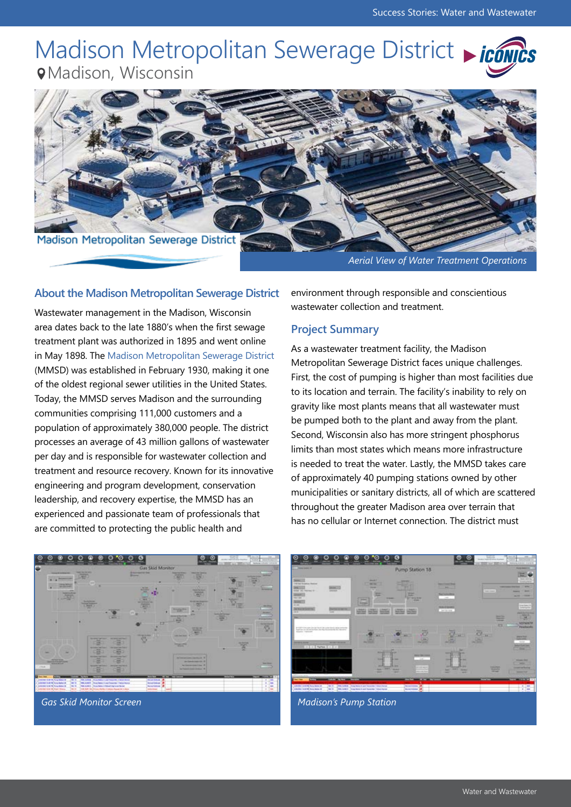# Madison Metropolitan Sewerage District > icó Madison, Wisconsin



## **About the Madison Metropolitan Sewerage District**

Wastewater management in the Madison, Wisconsin area dates back to the late 1880's when the first sewage treatment plant was authorized in 1895 and went online in May 1898. The Madison Metropolitan Sewerage District (MMSD) was established in February 1930, making it one of the oldest regional sewer utilities in the United States. Today, the MMSD serves Madison and the surrounding communities comprising 111,000 customers and a population of approximately 380,000 people. The district processes an average of 43 million gallons of wastewater per day and is responsible for wastewater collection and treatment and resource recovery. Known for its innovative engineering and program development, conservation leadership, and recovery expertise, the MMSD has an experienced and passionate team of professionals that are committed to protecting the public health and

environment through responsible and conscientious wastewater collection and treatment.

### **Project Summary**

As a wastewater treatment facility, the Madison Metropolitan Sewerage District faces unique challenges. First, the cost of pumping is higher than most facilities due to its location and terrain. The facility's inability to rely on gravity like most plants means that all wastewater must be pumped both to the plant and away from the plant. Second, Wisconsin also has more stringent phosphorus limits than most states which means more infrastructure is needed to treat the water. Lastly, the MMSD takes care of approximately 40 pumping stations owned by other municipalities or sanitary districts, all of which are scattered throughout the greater Madison area over terrain that has no cellular or Internet connection. The district must



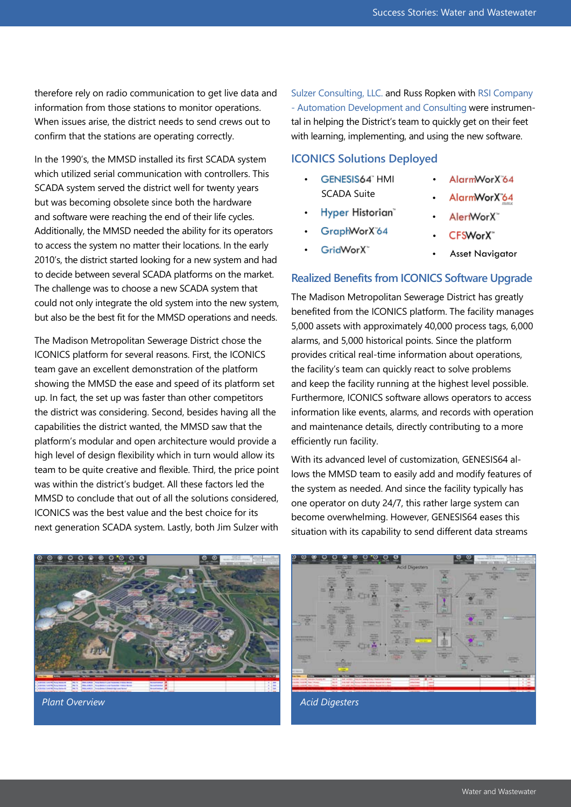therefore rely on radio communication to get live data and information from those stations to monitor operations. When issues arise, the district needs to send crews out to confirm that the stations are operating correctly.

In the 1990's, the MMSD installed its first SCADA system which utilized serial communication with controllers. This SCADA system served the district well for twenty years but was becoming obsolete since both the hardware and software were reaching the end of their life cycles. Additionally, the MMSD needed the ability for its operators to access the system no matter their locations. In the early 2010's, the district started looking for a new system and had to decide between several SCADA platforms on the market. The challenge was to choose a new SCADA system that could not only integrate the old system into the new system, but also be the best fit for the MMSD operations and needs.

The Madison Metropolitan Sewerage District chose the ICONICS platform for several reasons. First, the ICONICS team gave an excellent demonstration of the platform showing the MMSD the ease and speed of its platform set up. In fact, the set up was faster than other competitors the district was considering. Second, besides having all the capabilities the district wanted, the MMSD saw that the platform's modular and open architecture would provide a high level of design flexibility which in turn would allow its team to be quite creative and flexible. Third, the price point was within the district's budget. All these factors led the MMSD to conclude that out of all the solutions considered, ICONICS was the best value and the best choice for its next generation SCADA system. Lastly, both Jim Sulzer with

Sulzer Consulting, LLC. and Russ Ropken with RSI Company - Automation Development and Consulting were instrumental in helping the District's team to quickly get on their feet with learning, implementing, and using the new software.

> • • •

#### **ICONICS Solutions Deployed**

- **GENESIS64** HMI SCADA Suite
- Hyper Historian •
	- GraphWorX 64
- GridWorX" •

•

AlertWorX<sup>-</sup>

AlarmWorX 64 AlarmWorX 64

- CFSWorX" •
- **Asset Navigator**

## **Realized Benefits from ICONICS Software Upgrade**

The Madison Metropolitan Sewerage District has greatly benefited from the ICONICS platform. The facility manages 5,000 assets with approximately 40,000 process tags, 6,000 alarms, and 5,000 historical points. Since the platform provides critical real-time information about operations, the facility's team can quickly react to solve problems and keep the facility running at the highest level possible. Furthermore, ICONICS software allows operators to access information like events, alarms, and records with operation and maintenance details, directly contributing to a more efficiently run facility.

With its advanced level of customization, GENESIS64 allows the MMSD team to easily add and modify features of the system as needed. And since the facility typically has one operator on duty 24/7, this rather large system can become overwhelming. However, GENESIS64 eases this situation with its capability to send different data streams